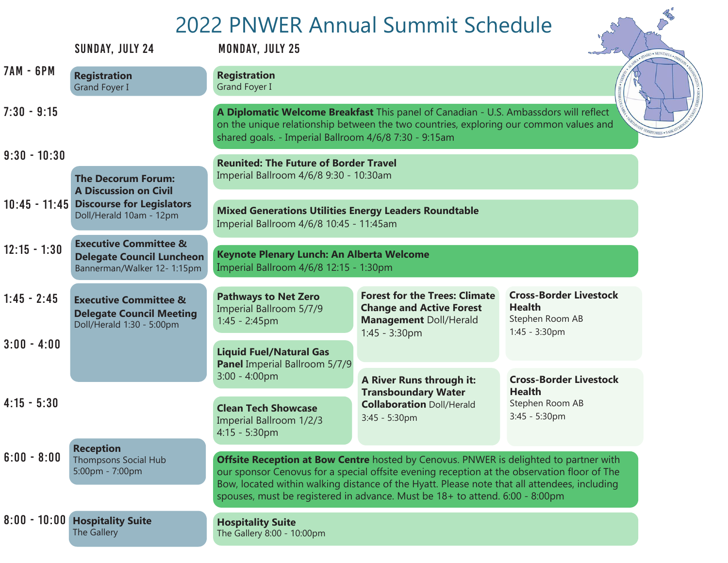## 2022 PNWER Annual Summit Schedule

|                                                           | SUNDAY, JULY 24                                                                                     | ZUZZ PINWER ANNUAL SUNNIN SCHEUUIE<br>$\sim$<br><b>MONDAY, JULY 25</b>                                                                                                                                                                                                                                                                                               |                                                                                                                                                                               |                                                                                    |  |
|-----------------------------------------------------------|-----------------------------------------------------------------------------------------------------|----------------------------------------------------------------------------------------------------------------------------------------------------------------------------------------------------------------------------------------------------------------------------------------------------------------------------------------------------------------------|-------------------------------------------------------------------------------------------------------------------------------------------------------------------------------|------------------------------------------------------------------------------------|--|
| <b>7AM - 6PM</b>                                          | <b>Registration</b><br><b>Grand Foyer I</b>                                                         | <b>Registration</b><br>Grand Foyer I                                                                                                                                                                                                                                                                                                                                 |                                                                                                                                                                               |                                                                                    |  |
| $7:30 - 9:15$                                             |                                                                                                     | shared goals. - Imperial Ballroom 4/6/8 7:30 - 9:15am                                                                                                                                                                                                                                                                                                                | A Diplomatic Welcome Breakfast This panel of Canadian - U.S. Ambassdors will reflect<br>on the unique relationship between the two countries, exploring our common values and |                                                                                    |  |
| $9:30 - 10:30$                                            |                                                                                                     | <b>Reunited: The Future of Border Travel</b>                                                                                                                                                                                                                                                                                                                         |                                                                                                                                                                               |                                                                                    |  |
| <b>The Decorum Forum:</b><br><b>A Discussion on Civil</b> |                                                                                                     | Imperial Ballroom 4/6/8 9:30 - 10:30am                                                                                                                                                                                                                                                                                                                               |                                                                                                                                                                               |                                                                                    |  |
|                                                           | 10:45 - 11:45 Discourse for Legislators<br>Doll/Herald 10am - 12pm                                  | <b>Mixed Generations Utilities Energy Leaders Roundtable</b><br>Imperial Ballroom 4/6/8 10:45 - 11:45am                                                                                                                                                                                                                                                              |                                                                                                                                                                               |                                                                                    |  |
| $12:15 - 1:30$                                            | <b>Executive Committee &amp;</b><br><b>Delegate Council Luncheon</b><br>Bannerman/Walker 12- 1:15pm | Keynote Plenary Lunch: An Alberta Welcome<br>Imperial Ballroom 4/6/8 12:15 - 1:30pm                                                                                                                                                                                                                                                                                  |                                                                                                                                                                               |                                                                                    |  |
| $1:45 - 2:45$                                             | <b>Executive Committee &amp;</b><br><b>Delegate Council Meeting</b><br>Doll/Herald 1:30 - 5:00pm    | <b>Pathways to Net Zero</b><br>Imperial Ballroom 5/7/9<br>$1:45 - 2:45$ pm                                                                                                                                                                                                                                                                                           | <b>Forest for the Trees: Climate</b><br><b>Change and Active Forest</b><br><b>Management Doll/Herald</b><br>1:45 - 3:30pm                                                     | <b>Cross-Border Livestock</b><br><b>Health</b><br>Stephen Room AB<br>1:45 - 3:30pm |  |
| $3:00 - 4:00$                                             |                                                                                                     | <b>Liquid Fuel/Natural Gas</b>                                                                                                                                                                                                                                                                                                                                       |                                                                                                                                                                               |                                                                                    |  |
|                                                           |                                                                                                     | Panel Imperial Ballroom 5/7/9<br>$3:00 - 4:00$ pm                                                                                                                                                                                                                                                                                                                    | <b>A River Runs through it:</b>                                                                                                                                               | <b>Cross-Border Livestock</b>                                                      |  |
| $4:15 - 5:30$                                             |                                                                                                     | <b>Clean Tech Showcase</b><br>Imperial Ballroom 1/2/3<br>$4:15 - 5:30$ pm                                                                                                                                                                                                                                                                                            | <b>Transboundary Water</b><br><b>Collaboration Doll/Herald</b><br>3:45 - 5:30pm                                                                                               | <b>Health</b><br>Stephen Room AB<br>3:45 - 5:30pm                                  |  |
| $6:00 - 8:00$                                             | <b>Reception</b><br><b>Thompsons Social Hub</b><br>5:00pm - 7:00pm                                  | Offsite Reception at Bow Centre hosted by Cenovus. PNWER is delighted to partner with<br>our sponsor Cenovus for a special offsite evening reception at the observation floor of The<br>Bow, located within walking distance of the Hyatt. Please note that all attendees, including<br>spouses, must be registered in advance. Must be 18+ to attend. 6:00 - 8:00pm |                                                                                                                                                                               |                                                                                    |  |
|                                                           | 8:00 - 10:00 Hospitality Suite<br>The Gallery                                                       | <b>Hospitality Suite</b><br>The Gallery 8:00 - 10:00pm                                                                                                                                                                                                                                                                                                               |                                                                                                                                                                               |                                                                                    |  |